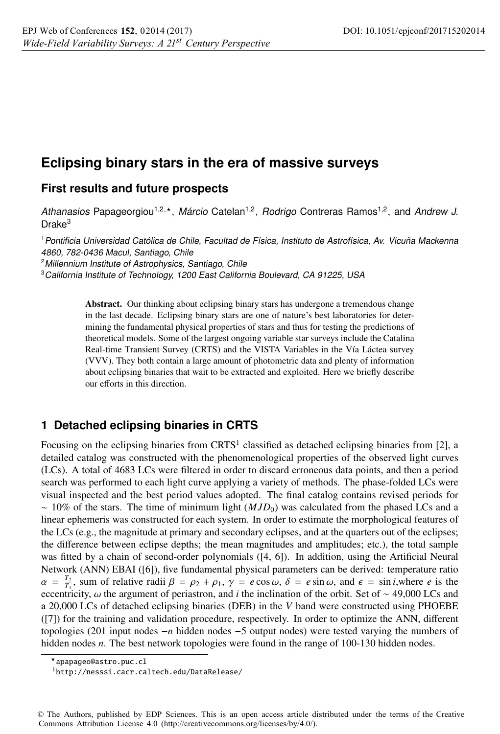# **Eclipsing binary stars in the era of massive surveys**

## **First results and future prospects**

Athanasios Papageorgiou<sup>1,2,\*</sup>, Márcio Catelan<sup>1,2</sup>, Rodrigo Contreras Ramos<sup>1,2</sup>, and Andrew J. Drake<sup>3</sup>

<sup>1</sup>Pontificia Universidad Católica de Chile, Facultad de Física, Instituto de Astrofísica, Av. Vicuña Mackenna 4860, 782-0436 Macul, Santiago, Chile

<sup>2</sup> Millennium Institute of Astrophysics, Santiago, Chile

<sup>3</sup>California Institute of Technology, 1200 East California Boulevard, CA 91225, USA

Abstract. Our thinking about eclipsing binary stars has undergone a tremendous change in the last decade. Eclipsing binary stars are one of nature's best laboratories for determining the fundamental physical properties of stars and thus for testing the predictions of theoretical models. Some of the largest ongoing variable star surveys include the Catalina Real-time Transient Survey (CRTS) and the VISTA Variables in the Vía Láctea survey (VVV). They both contain a large amount of photometric data and plenty of information about eclipsing binaries that wait to be extracted and exploited. Here we briefly describe our efforts in this direction.

### **1 Detached eclipsing binaries in CRTS**

Focusing on the eclipsing binaries from  $CRTS<sup>1</sup>$  classified as detached eclipsing binaries from [2], a detailed catalog was constructed with the phenomenological properties of the observed light curves (LCs). A total of 4683 LCs were filtered in order to discard erroneous data points, and then a period search was performed to each light curve applying a variety of methods. The phase-folded LCs were visual inspected and the best period values adopted. The final catalog contains revised periods for ∼ 10% of the stars. The time of minimum light (*MJD*0) was calculated from the phased LCs and a linear ephemeris was constructed for each system. In order to estimate the morphological features of the LCs (e.g., the magnitude at primary and secondary eclipses, and at the quarters out of the eclipses; the difference between eclipse depths; the mean magnitudes and amplitudes; etc.), the total sample was fitted by a chain of second-order polynomials ([4, 6]). In addition, using the Artificial Neural Network (ANN) EBAI ([6]), five fundamental physical parameters can be derived: temperature ratio  $\alpha = \frac{T_2}{T_1}$ , sum of relative radii  $\beta = \rho_2 + \rho_1$ ,  $\gamma = e \cos \omega$ ,  $\delta = e \sin \omega$ , and  $\epsilon = \sin i$ , where *e* is the eccentricity, ω the argument of periastron, and *i* the inclination of the orbit. Set of ∼ 49,000 LCs and a 20,000 LCs of detached eclipsing binaries (DEB) in the *V* band were constructed using PHOEBE ([7]) for the training and validation procedure, respectively. In order to optimize the ANN, different topologies (201 input nodes −*n* hidden nodes −5 output nodes) were tested varying the numbers of hidden nodes *n*. The best network topologies were found in the range of 100-130 hidden nodes.

<sup>-</sup>apapageo@astro.puc.cl

<sup>1</sup>http://nesssi.cacr.caltech.edu/DataRelease/

<sup>©</sup> The Authors, published by EDP Sciences. This is an open access article distributed under the terms of the Creative Commons Attribution License 4.0 ([http://creativecommons.org/licenses/by/4.0/\)](http://creativecommons.org/licenses/by/4.0/).